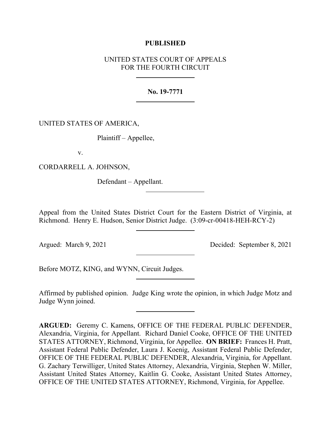## **PUBLISHED**

# UNITED STATES COURT OF APPEALS FOR THE FOURTH CIRCUIT

## **No. 19-7771**

UNITED STATES OF AMERICA,

Plaintiff – Appellee,

v.

CORDARRELL A. JOHNSON,

Defendant – Appellant.

Appeal from the United States District Court for the Eastern District of Virginia, at Richmond. Henry E. Hudson, Senior District Judge. (3:09-cr-00418-HEH-RCY-2)

Argued: March 9, 2021 Decided: September 8, 2021

Before MOTZ, KING, and WYNN, Circuit Judges.

Affirmed by published opinion. Judge King wrote the opinion, in which Judge Motz and Judge Wynn joined.

**ARGUED:** Geremy C. Kamens, OFFICE OF THE FEDERAL PUBLIC DEFENDER, Alexandria, Virginia, for Appellant. Richard Daniel Cooke, OFFICE OF THE UNITED STATES ATTORNEY, Richmond, Virginia, for Appellee. **ON BRIEF:** Frances H. Pratt, Assistant Federal Public Defender, Laura J. Koenig, Assistant Federal Public Defender, OFFICE OF THE FEDERAL PUBLIC DEFENDER, Alexandria, Virginia, for Appellant. G. Zachary Terwilliger, United States Attorney, Alexandria, Virginia, Stephen W. Miller, Assistant United States Attorney, Kaitlin G. Cooke, Assistant United States Attorney, OFFICE OF THE UNITED STATES ATTORNEY, Richmond, Virginia, for Appellee.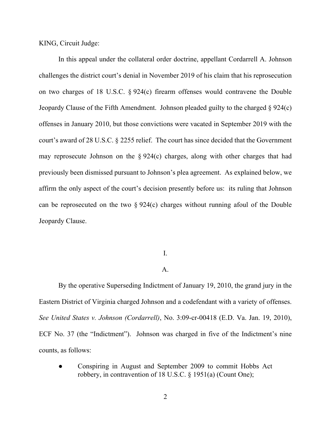KING, Circuit Judge:

In this appeal under the collateral order doctrine, appellant Cordarrell A. Johnson challenges the district court's denial in November 2019 of his claim that his reprosecution on two charges of 18 U.S.C. § 924(c) firearm offenses would contravene the Double Jeopardy Clause of the Fifth Amendment. Johnson pleaded guilty to the charged § 924(c) offenses in January 2010, but those convictions were vacated in September 2019 with the court's award of 28 U.S.C. § 2255 relief. The court has since decided that the Government may reprosecute Johnson on the  $\S 924(c)$  charges, along with other charges that had previously been dismissed pursuant to Johnson's plea agreement. As explained below, we affirm the only aspect of the court's decision presently before us: its ruling that Johnson can be reprosecuted on the two § 924(c) charges without running afoul of the Double Jeopardy Clause.

### I.

## $\mathbf{A}$ .

By the operative Superseding Indictment of January 19, 2010, the grand jury in the Eastern District of Virginia charged Johnson and a codefendant with a variety of offenses. *See United States v. Johnson (Cordarrell)*, No. 3:09-cr-00418 (E.D. Va. Jan. 19, 2010), ECF No. 37 (the "Indictment"). Johnson was charged in five of the Indictment's nine counts, as follows:

Conspiring in August and September 2009 to commit Hobbs Act robbery, in contravention of 18 U.S.C. § 1951(a) (Count One);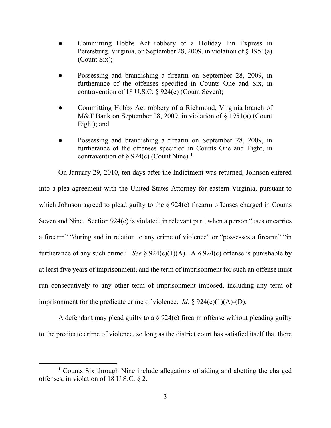- Committing Hobbs Act robbery of a Holiday Inn Express in Petersburg, Virginia, on September 28, 2009, in violation of § 1951(a) (Count Six);
- Possessing and brandishing a firearm on September 28, 2009, in furtherance of the offenses specified in Counts One and Six, in contravention of 18 U.S.C. § 924(c) (Count Seven);
- Committing Hobbs Act robbery of a Richmond, Virginia branch of M&T Bank on September 28, 2009, in violation of § 1951(a) (Count Eight); and
- Possessing and brandishing a firearm on September 28, 2009, in furtherance of the offenses specified in Counts One and Eight, in contravention of  $\S 924(c)$  (Count Nine).<sup>[1](#page-2-0)</sup>

On January 29, 2010, ten days after the Indictment was returned, Johnson entered into a plea agreement with the United States Attorney for eastern Virginia, pursuant to which Johnson agreed to plead guilty to the § 924(c) firearm offenses charged in Counts Seven and Nine. Section 924(c) is violated, in relevant part, when a person "uses or carries a firearm" "during and in relation to any crime of violence" or "possesses a firearm" "in furtherance of any such crime." *See*  $\S 924(c)(1)(A)$ . A  $\S 924(c)$  offense is punishable by at least five years of imprisonment, and the term of imprisonment for such an offense must run consecutively to any other term of imprisonment imposed, including any term of imprisonment for the predicate crime of violence. *Id.* § 924(c)(1)(A)-(D).

A defendant may plead guilty to a § 924(c) firearm offense without pleading guilty to the predicate crime of violence, so long as the district court has satisfied itself that there

<span id="page-2-0"></span><sup>&</sup>lt;sup>1</sup> Counts Six through Nine include allegations of aiding and abetting the charged offenses, in violation of 18 U.S.C. § 2.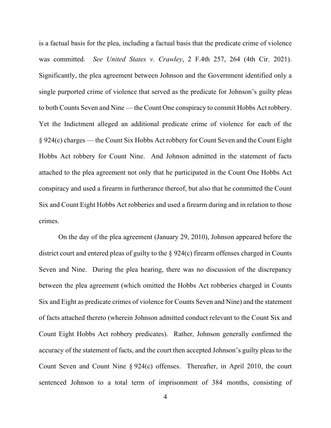is a factual basis for the plea, including a factual basis that the predicate crime of violence was committed. *See United States v. Crawley*, 2 F.4th 257, 264 (4th Cir. 2021). Significantly, the plea agreement between Johnson and the Government identified only a single purported crime of violence that served as the predicate for Johnson's guilty pleas to both Counts Seven and Nine — the Count One conspiracy to commit Hobbs Act robbery. Yet the Indictment alleged an additional predicate crime of violence for each of the § 924(c) charges — the Count Six Hobbs Act robbery for Count Seven and the Count Eight Hobbs Act robbery for Count Nine. And Johnson admitted in the statement of facts attached to the plea agreement not only that he participated in the Count One Hobbs Act conspiracy and used a firearm in furtherance thereof, but also that he committed the Count Six and Count Eight Hobbs Act robberies and used a firearm during and in relation to those crimes.

On the day of the plea agreement (January 29, 2010), Johnson appeared before the district court and entered pleas of guilty to the § 924(c) firearm offenses charged in Counts Seven and Nine. During the plea hearing, there was no discussion of the discrepancy between the plea agreement (which omitted the Hobbs Act robberies charged in Counts Six and Eight as predicate crimes of violence for Counts Seven and Nine) and the statement of facts attached thereto (wherein Johnson admitted conduct relevant to the Count Six and Count Eight Hobbs Act robbery predicates). Rather, Johnson generally confirmed the accuracy of the statement of facts, and the court then accepted Johnson's guilty pleas to the Count Seven and Count Nine § 924(c) offenses. Thereafter, in April 2010, the court sentenced Johnson to a total term of imprisonment of 384 months, consisting of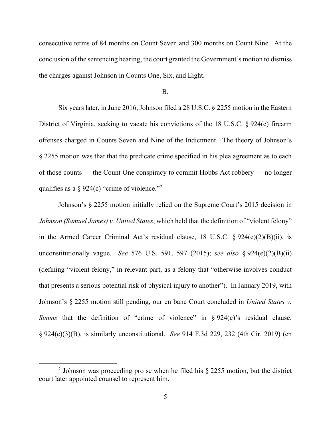consecutive terms of 84 months on Count Seven and 300 months on Count Nine. At the conclusion of the sentencing hearing, the court granted the Government's motion to dismiss the charges against Johnson in Counts One, Six, and Eight.

#### B.

Six years later, in June 2016, Johnson filed a 28 U.S.C. § 2255 motion in the Eastern District of Virginia, seeking to vacate his convictions of the 18 U.S.C. § 924(c) firearm offenses charged in Counts Seven and Nine of the Indictment. The theory of Johnson's § 2255 motion was that that the predicate crime specified in his plea agreement as to each of those counts — the Count One conspiracy to commit Hobbs Act robbery — no longer qualifies as a  $\S 924(c)$  $\S 924(c)$  $\S 924(c)$  "crime of violence."<sup>2</sup>

Johnson's § 2255 motion initially relied on the Supreme Court's 2015 decision in *Johnson (Samuel James) v. United States*, which held that the definition of "violent felony" in the Armed Career Criminal Act's residual clause, 18 U.S.C. § 924(e)(2)(B)(ii), is unconstitutionally vague. *See* 576 U.S. 591, 597 (2015); *see also* § 924(e)(2)(B)(ii) (defining "violent felony," in relevant part, as a felony that "otherwise involves conduct that presents a serious potential risk of physical injury to another"). In January 2019, with Johnson's § 2255 motion still pending, our en banc Court concluded in *United States v. Simms* that the definition of "crime of violence" in § 924(c)'s residual clause, § 924(c)(3)(B), is similarly unconstitutional. *See* 914 F.3d 229, 232 (4th Cir. 2019) (en

<span id="page-4-0"></span><sup>&</sup>lt;sup>2</sup> Johnson was proceeding pro se when he filed his  $\S$  2255 motion, but the district court later appointed counsel to represent him.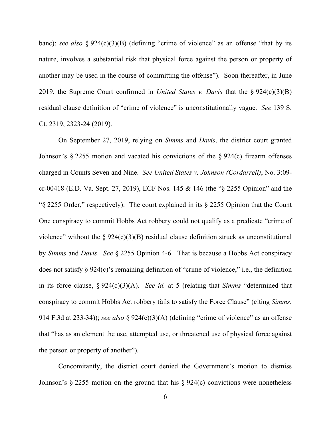banc); *see also* § 924(c)(3)(B) (defining "crime of violence" as an offense "that by its nature, involves a substantial risk that physical force against the person or property of another may be used in the course of committing the offense"). Soon thereafter, in June 2019, the Supreme Court confirmed in *United States v. Davis* that the § 924(c)(3)(B) residual clause definition of "crime of violence" is unconstitutionally vague. *See* 139 S. Ct. 2319, 2323-24 (2019).

On September 27, 2019, relying on *Simms* and *Davis*, the district court granted Johnson's  $\S 2255$  motion and vacated his convictions of the  $\S 924(c)$  firearm offenses charged in Counts Seven and Nine. *See United States v. Johnson (Cordarrell)*, No. 3:09 cr-00418 (E.D. Va. Sept. 27, 2019), ECF Nos. 145 & 146 (the "§ 2255 Opinion" and the "§ 2255 Order," respectively). The court explained in its § 2255 Opinion that the Count One conspiracy to commit Hobbs Act robbery could not qualify as a predicate "crime of violence" without the  $\S 924(c)(3)(B)$  residual clause definition struck as unconstitutional by *Simms* and *Davis*. *See* § 2255 Opinion 4-6. That is because a Hobbs Act conspiracy does not satisfy § 924(c)'s remaining definition of "crime of violence," i.e., the definition in its force clause, § 924(c)(3)(A). *See id.* at 5 (relating that *Simms* "determined that conspiracy to commit Hobbs Act robbery fails to satisfy the Force Clause" (citing *Simms*, 914 F.3d at 233-34)); *see also* § 924(c)(3)(A) (defining "crime of violence" as an offense that "has as an element the use, attempted use, or threatened use of physical force against the person or property of another").

Concomitantly, the district court denied the Government's motion to dismiss Johnson's § 2255 motion on the ground that his § 924(c) convictions were nonetheless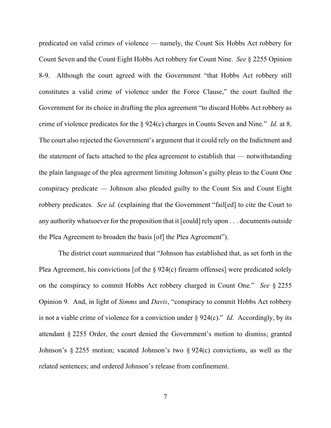predicated on valid crimes of violence — namely, the Count Six Hobbs Act robbery for Count Seven and the Count Eight Hobbs Act robbery for Count Nine. *See* § 2255 Opinion 8-9. Although the court agreed with the Government "that Hobbs Act robbery still constitutes a valid crime of violence under the Force Clause," the court faulted the Government for its choice in drafting the plea agreement "to discard Hobbs Act robbery as crime of violence predicates for the § 924(c) charges in Counts Seven and Nine." *Id.* at 8. The court also rejected the Government's argument that it could rely on the Indictment and the statement of facts attached to the plea agreement to establish that — notwithstanding the plain language of the plea agreement limiting Johnson's guilty pleas to the Count One conspiracy predicate — Johnson also pleaded guilty to the Count Six and Count Eight robbery predicates. *See id.* (explaining that the Government "fail[ed] to cite the Court to any authority whatsoever for the proposition that it [could] rely upon . . . documents outside the Plea Agreement to broaden the basis [of] the Plea Agreement").

The district court summarized that "Johnson has established that, as set forth in the Plea Agreement, his convictions [of the § 924(c) firearm offenses] were predicated solely on the conspiracy to commit Hobbs Act robbery charged in Count One." *See* § 2255 Opinion 9. And, in light of *Simms* and *Davis*, "conspiracy to commit Hobbs Act robbery is not a viable crime of violence for a conviction under § 924(c)." *Id.* Accordingly, by its attendant § 2255 Order, the court denied the Government's motion to dismiss; granted Johnson's § 2255 motion; vacated Johnson's two § 924(c) convictions, as well as the related sentences; and ordered Johnson's release from confinement.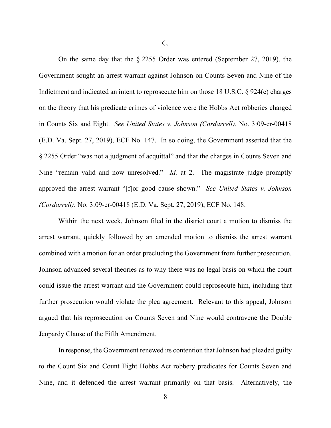On the same day that the § 2255 Order was entered (September 27, 2019), the Government sought an arrest warrant against Johnson on Counts Seven and Nine of the Indictment and indicated an intent to reprosecute him on those 18 U.S.C. § 924(c) charges on the theory that his predicate crimes of violence were the Hobbs Act robberies charged in Counts Six and Eight. *See United States v. Johnson (Cordarrell)*, No. 3:09-cr-00418 (E.D. Va. Sept. 27, 2019), ECF No. 147. In so doing, the Government asserted that the § 2255 Order "was not a judgment of acquittal" and that the charges in Counts Seven and Nine "remain valid and now unresolved." *Id.* at 2. The magistrate judge promptly approved the arrest warrant "[f]or good cause shown." *See United States v. Johnson (Cordarrell)*, No. 3:09-cr-00418 (E.D. Va. Sept. 27, 2019), ECF No. 148.

Within the next week, Johnson filed in the district court a motion to dismiss the arrest warrant, quickly followed by an amended motion to dismiss the arrest warrant combined with a motion for an order precluding the Government from further prosecution. Johnson advanced several theories as to why there was no legal basis on which the court could issue the arrest warrant and the Government could reprosecute him, including that further prosecution would violate the plea agreement. Relevant to this appeal, Johnson argued that his reprosecution on Counts Seven and Nine would contravene the Double Jeopardy Clause of the Fifth Amendment.

In response, the Government renewed its contention that Johnson had pleaded guilty to the Count Six and Count Eight Hobbs Act robbery predicates for Counts Seven and Nine, and it defended the arrest warrant primarily on that basis. Alternatively, the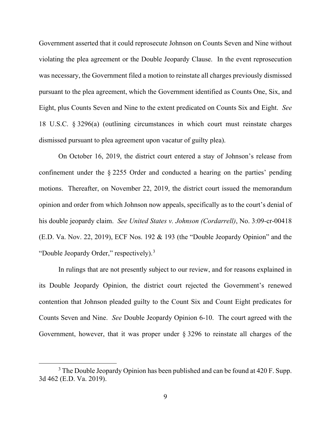Government asserted that it could reprosecute Johnson on Counts Seven and Nine without violating the plea agreement or the Double Jeopardy Clause. In the event reprosecution was necessary, the Government filed a motion to reinstate all charges previously dismissed pursuant to the plea agreement, which the Government identified as Counts One, Six, and Eight, plus Counts Seven and Nine to the extent predicated on Counts Six and Eight. *See*  18 U.S.C. § 3296(a) (outlining circumstances in which court must reinstate charges dismissed pursuant to plea agreement upon vacatur of guilty plea).

On October 16, 2019, the district court entered a stay of Johnson's release from confinement under the § 2255 Order and conducted a hearing on the parties' pending motions. Thereafter, on November 22, 2019, the district court issued the memorandum opinion and order from which Johnson now appeals, specifically as to the court's denial of his double jeopardy claim. *See United States v. Johnson (Cordarrell)*, No. 3:09-cr-00418 (E.D. Va. Nov. 22, 2019), ECF Nos. 192 & 193 (the "Double Jeopardy Opinion" and the "Double Jeopardy Order," respectively).<sup>[3](#page-8-0)</sup>

In rulings that are not presently subject to our review, and for reasons explained in its Double Jeopardy Opinion, the district court rejected the Government's renewed contention that Johnson pleaded guilty to the Count Six and Count Eight predicates for Counts Seven and Nine. *See* Double Jeopardy Opinion 6-10. The court agreed with the Government, however, that it was proper under § 3296 to reinstate all charges of the

<span id="page-8-0"></span> $3$  The Double Jeopardy Opinion has been published and can be found at 420 F. Supp. 3d 462 (E.D. Va. 2019).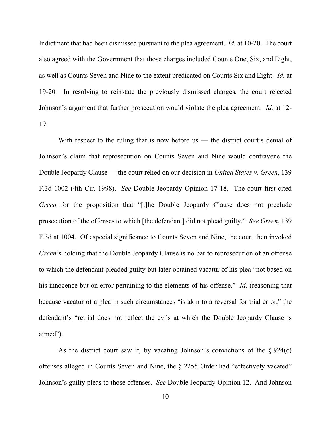Indictment that had been dismissed pursuant to the plea agreement. *Id.* at 10-20. The court also agreed with the Government that those charges included Counts One, Six, and Eight, as well as Counts Seven and Nine to the extent predicated on Counts Six and Eight. *Id.* at 19-20. In resolving to reinstate the previously dismissed charges, the court rejected Johnson's argument that further prosecution would violate the plea agreement. *Id.* at 12- 19.

With respect to the ruling that is now before us — the district court's denial of Johnson's claim that reprosecution on Counts Seven and Nine would contravene the Double Jeopardy Clause — the court relied on our decision in *United States v. Green*, 139 F.3d 1002 (4th Cir. 1998). *See* Double Jeopardy Opinion 17-18. The court first cited *Green* for the proposition that "[t]he Double Jeopardy Clause does not preclude prosecution of the offenses to which [the defendant] did not plead guilty." *See Green*, 139 F.3d at 1004. Of especial significance to Counts Seven and Nine, the court then invoked *Green*'s holding that the Double Jeopardy Clause is no bar to reprosecution of an offense to which the defendant pleaded guilty but later obtained vacatur of his plea "not based on his innocence but on error pertaining to the elements of his offense." *Id.* (reasoning that because vacatur of a plea in such circumstances "is akin to a reversal for trial error," the defendant's "retrial does not reflect the evils at which the Double Jeopardy Clause is aimed").

As the district court saw it, by vacating Johnson's convictions of the  $\S 924(c)$ offenses alleged in Counts Seven and Nine, the § 2255 Order had "effectively vacated" Johnson's guilty pleas to those offenses. *See* Double Jeopardy Opinion 12. And Johnson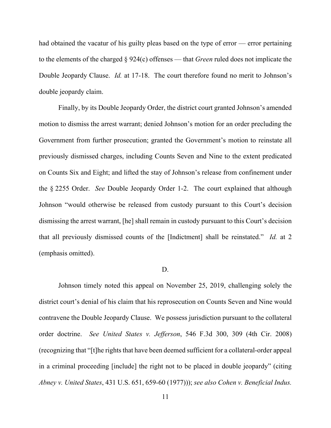had obtained the vacatur of his guilty pleas based on the type of error — error pertaining to the elements of the charged § 924(c) offenses — that *Green* ruled does not implicate the Double Jeopardy Clause. *Id.* at 17-18. The court therefore found no merit to Johnson's double jeopardy claim.

Finally, by its Double Jeopardy Order, the district court granted Johnson's amended motion to dismiss the arrest warrant; denied Johnson's motion for an order precluding the Government from further prosecution; granted the Government's motion to reinstate all previously dismissed charges, including Counts Seven and Nine to the extent predicated on Counts Six and Eight; and lifted the stay of Johnson's release from confinement under the § 2255 Order. *See* Double Jeopardy Order 1-2. The court explained that although Johnson "would otherwise be released from custody pursuant to this Court's decision dismissing the arrest warrant, [he] shall remain in custody pursuant to this Court's decision that all previously dismissed counts of the [Indictment] shall be reinstated." *Id.* at 2 (emphasis omitted).

#### D.

Johnson timely noted this appeal on November 25, 2019, challenging solely the district court's denial of his claim that his reprosecution on Counts Seven and Nine would contravene the Double Jeopardy Clause. We possess jurisdiction pursuant to the collateral order doctrine. *See United States v. Jefferson*, 546 F.3d 300, 309 (4th Cir. 2008) (recognizing that "[t]he rights that have been deemed sufficient for a collateral-order appeal in a criminal proceeding [include] the right not to be placed in double jeopardy" (citing *Abney v. United States*, 431 U.S. 651, 659-60 (1977))); *see also Cohen v. Beneficial Indus.*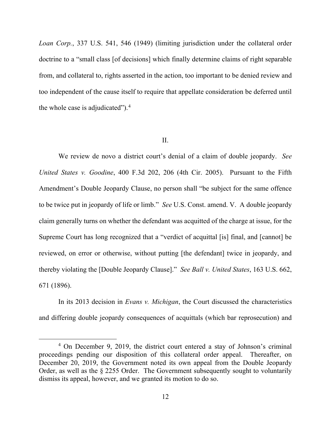*Loan Corp.*, 337 U.S. 541, 546 (1949) (limiting jurisdiction under the collateral order doctrine to a "small class [of decisions] which finally determine claims of right separable from, and collateral to, rights asserted in the action, too important to be denied review and too independent of the cause itself to require that appellate consideration be deferred until the whole case is adjudicated").<sup>[4](#page-11-0)</sup>

### II.

We review de novo a district court's denial of a claim of double jeopardy. *See United States v. Goodine*, 400 F.3d 202, 206 (4th Cir. 2005). Pursuant to the Fifth Amendment's Double Jeopardy Clause, no person shall "be subject for the same offence to be twice put in jeopardy of life or limb." *See* U.S. Const. amend. V. A double jeopardy claim generally turns on whether the defendant was acquitted of the charge at issue, for the Supreme Court has long recognized that a "verdict of acquittal [is] final, and [cannot] be reviewed, on error or otherwise, without putting [the defendant] twice in jeopardy, and thereby violating the [Double Jeopardy Clause]." *See Ball v. United States*, 163 U.S. 662, 671 (1896).

In its 2013 decision in *Evans v. Michigan*, the Court discussed the characteristics and differing double jeopardy consequences of acquittals (which bar reprosecution) and

<span id="page-11-0"></span><sup>4</sup> On December 9, 2019, the district court entered a stay of Johnson's criminal proceedings pending our disposition of this collateral order appeal. Thereafter, on December 20, 2019, the Government noted its own appeal from the Double Jeopardy Order, as well as the § 2255 Order. The Government subsequently sought to voluntarily dismiss its appeal, however, and we granted its motion to do so.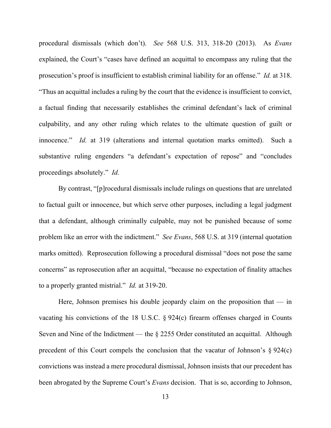procedural dismissals (which don't). *See* 568 U.S. 313, 318-20 (2013). As *Evans* explained, the Court's "cases have defined an acquittal to encompass any ruling that the prosecution's proof is insufficient to establish criminal liability for an offense." *Id.* at 318. "Thus an acquittal includes a ruling by the court that the evidence is insufficient to convict, a factual finding that necessarily establishes the criminal defendant's lack of criminal culpability, and any other ruling which relates to the ultimate question of guilt or innocence." *Id.* at 319 (alterations and internal quotation marks omitted). Such a substantive ruling engenders "a defendant's expectation of repose" and "concludes proceedings absolutely." *Id.*

By contrast, "[p]rocedural dismissals include rulings on questions that are unrelated to factual guilt or innocence, but which serve other purposes, including a legal judgment that a defendant, although criminally culpable, may not be punished because of some problem like an error with the indictment." *See Evans*, 568 U.S. at 319 (internal quotation marks omitted). Reprosecution following a procedural dismissal "does not pose the same concerns" as reprosecution after an acquittal, "because no expectation of finality attaches to a properly granted mistrial." *Id.* at 319-20.

Here, Johnson premises his double jeopardy claim on the proposition that  $-$  in vacating his convictions of the 18 U.S.C. § 924(c) firearm offenses charged in Counts Seven and Nine of the Indictment — the  $\S 2255$  Order constituted an acquittal. Although precedent of this Court compels the conclusion that the vacatur of Johnson's  $\S 924(c)$ convictions was instead a mere procedural dismissal, Johnson insists that our precedent has been abrogated by the Supreme Court's *Evans* decision. That is so, according to Johnson,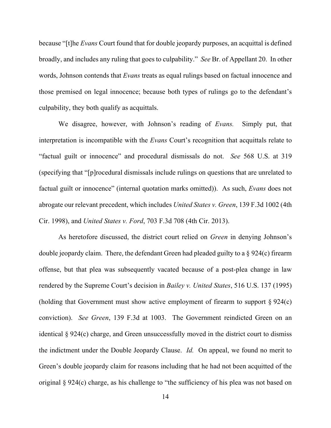because "[t]he *Evans* Court found that for double jeopardy purposes, an acquittal is defined broadly, and includes any ruling that goes to culpability." *See* Br. of Appellant 20. In other words, Johnson contends that *Evans* treats as equal rulings based on factual innocence and those premised on legal innocence; because both types of rulings go to the defendant's culpability, they both qualify as acquittals.

We disagree, however, with Johnson's reading of *Evans.* Simply put, that interpretation is incompatible with the *Evans* Court's recognition that acquittals relate to "factual guilt or innocence" and procedural dismissals do not. *See* 568 U.S. at 319 (specifying that "[p]rocedural dismissals include rulings on questions that are unrelated to factual guilt or innocence" (internal quotation marks omitted)). As such, *Evans* does not abrogate our relevant precedent, which includes *United States v. Green*, 139 F.3d 1002 (4th Cir. 1998), and *United States v. Ford*, 703 F.3d 708 (4th Cir. 2013).

As heretofore discussed, the district court relied on *Green* in denying Johnson's double jeopardy claim. There, the defendant Green had pleaded guilty to a § 924(c) firearm offense, but that plea was subsequently vacated because of a post-plea change in law rendered by the Supreme Court's decision in *Bailey v. United States*, 516 U.S. 137 (1995) (holding that Government must show active employment of firearm to support § 924(c) conviction). *See Green*, 139 F.3d at 1003. The Government reindicted Green on an identical § 924(c) charge, and Green unsuccessfully moved in the district court to dismiss the indictment under the Double Jeopardy Clause. *Id.* On appeal, we found no merit to Green's double jeopardy claim for reasons including that he had not been acquitted of the original § 924(c) charge, as his challenge to "the sufficiency of his plea was not based on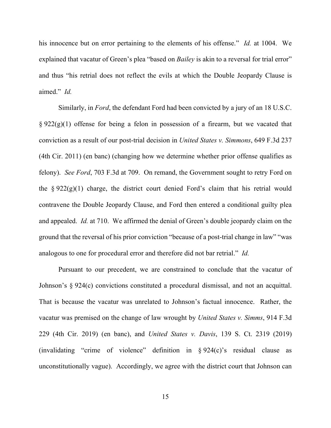his innocence but on error pertaining to the elements of his offense." *Id.* at 1004. We explained that vacatur of Green's plea "based on *Bailey* is akin to a reversal for trial error" and thus "his retrial does not reflect the evils at which the Double Jeopardy Clause is aimed." *Id.*

Similarly, in *Ford*, the defendant Ford had been convicted by a jury of an 18 U.S.C.  $\S 922(g)(1)$  offense for being a felon in possession of a firearm, but we vacated that conviction as a result of our post-trial decision in *United States v. Simmons*, 649 F.3d 237 (4th Cir. 2011) (en banc) (changing how we determine whether prior offense qualifies as felony). *See Ford*, 703 F.3d at 709. On remand, the Government sought to retry Ford on the  $\S 922(g)(1)$  charge, the district court denied Ford's claim that his retrial would contravene the Double Jeopardy Clause, and Ford then entered a conditional guilty plea and appealed. *Id.* at 710. We affirmed the denial of Green's double jeopardy claim on the ground that the reversal of his prior conviction "because of a post-trial change in law" "was analogous to one for procedural error and therefore did not bar retrial." *Id.*

Pursuant to our precedent, we are constrained to conclude that the vacatur of Johnson's § 924(c) convictions constituted a procedural dismissal, and not an acquittal. That is because the vacatur was unrelated to Johnson's factual innocence. Rather, the vacatur was premised on the change of law wrought by *United States v. Simms*, 914 F.3d 229 (4th Cir. 2019) (en banc), and *United States v. Davis*, 139 S. Ct. 2319 (2019) (invalidating "crime of violence" definition in § 924(c)'s residual clause as unconstitutionally vague). Accordingly, we agree with the district court that Johnson can